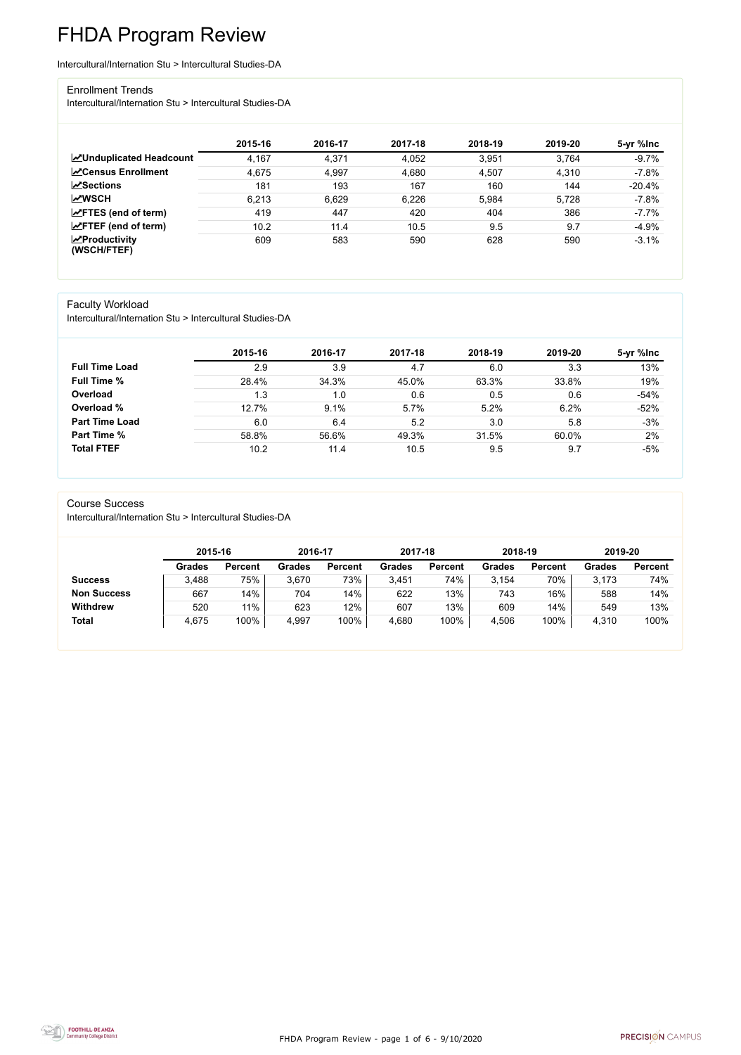FHDA Program Review - page 1 of 6 - 9/10/2020



# FHDA Program Review

Intercultural/Internation Stu > Intercultural Studies-DA

#### Enrollment Trends

Intercultural/Internation Stu > Intercultural Studies-DA

|                                          | 2015-16 | 2016-17 | 2017-18 | 2018-19 | 2019-20 | 5-yr %Inc |
|------------------------------------------|---------|---------|---------|---------|---------|-----------|
| <b>ZUnduplicated Headcount</b>           | 4,167   | 4,371   | 4,052   | 3.951   | 3,764   | $-9.7%$   |
| <b>∠</b> Census Enrollment               | 4,675   | 4,997   | 4,680   | 4,507   | 4,310   | $-7.8%$   |
| $\sqrt{S}$ ections                       | 181     | 193     | 167     | 160     | 144     | $-20.4%$  |
| <b>MWSCH</b>                             | 6,213   | 6,629   | 6,226   | 5,984   | 5,728   | $-7.8%$   |
| $\angle$ FTES (end of term)              | 419     | 447     | 420     | 404     | 386     | $-7.7%$   |
| $\angle$ FTEF (end of term)              | 10.2    | 11.4    | 10.5    | 9.5     | 9.7     | $-4.9%$   |
| $\mathbf{Z}$ Productivity<br>(WSCH/FTEF) | 609     | 583     | 590     | 628     | 590     | $-3.1%$   |

### Faculty Workload

Intercultural/Internation Stu > Intercultural Studies-DA

|                       | 2015-16 | 2016-17 | 2017-18 | 2018-19 | 2019-20 | 5-yr %lnc |
|-----------------------|---------|---------|---------|---------|---------|-----------|
| <b>Full Time Load</b> | 2.9     | 3.9     | 4.7     | 6.0     | 3.3     | 13%       |
| <b>Full Time %</b>    | 28.4%   | 34.3%   | 45.0%   | 63.3%   | 33.8%   | 19%       |
| Overload              | 1.3     | 1.0     | 0.6     | 0.5     | 0.6     | $-54%$    |
| Overload %            | 12.7%   | 9.1%    | 5.7%    | 5.2%    | 6.2%    | $-52%$    |
| <b>Part Time Load</b> | 6.0     | 6.4     | 5.2     | 3.0     | 5.8     | $-3%$     |
| <b>Part Time %</b>    | 58.8%   | 56.6%   | 49.3%   | 31.5%   | 60.0%   | 2%        |
| <b>Total FTEF</b>     | 10.2    | 11.4    | 10.5    | 9.5     | 9.7     | $-5%$     |

#### Course Success

Intercultural/Internation Stu > Intercultural Studies-DA

|                    |               | 2015-16        |               | 2016-17        | 2017-18       |                | 2018-19       |                | 2019-20       |                |
|--------------------|---------------|----------------|---------------|----------------|---------------|----------------|---------------|----------------|---------------|----------------|
|                    | <b>Grades</b> | <b>Percent</b> | <b>Grades</b> | <b>Percent</b> | <b>Grades</b> | <b>Percent</b> | <b>Grades</b> | <b>Percent</b> | <b>Grades</b> | <b>Percent</b> |
| <b>Success</b>     | 3,488         | 75%            | 3,670         | 73%            | 3,451         | 74%            | 3,154         | 70%            | 3,173         | 74%            |
| <b>Non Success</b> | 667           | 14%            | 704           | 14%            | 622           | 13%            | 743           | 16%            | 588           | 14%            |
| <b>Withdrew</b>    | 520           | 11%            | 623           | 12%            | 607           | 13%            | 609           | 14%            | 549           | 13%            |
| <b>Total</b>       | 4,675         | 100%           | 4,997         | 100%           | 4,680         | 100%           | 4,506         | 100%           | 4,310         | 100%           |

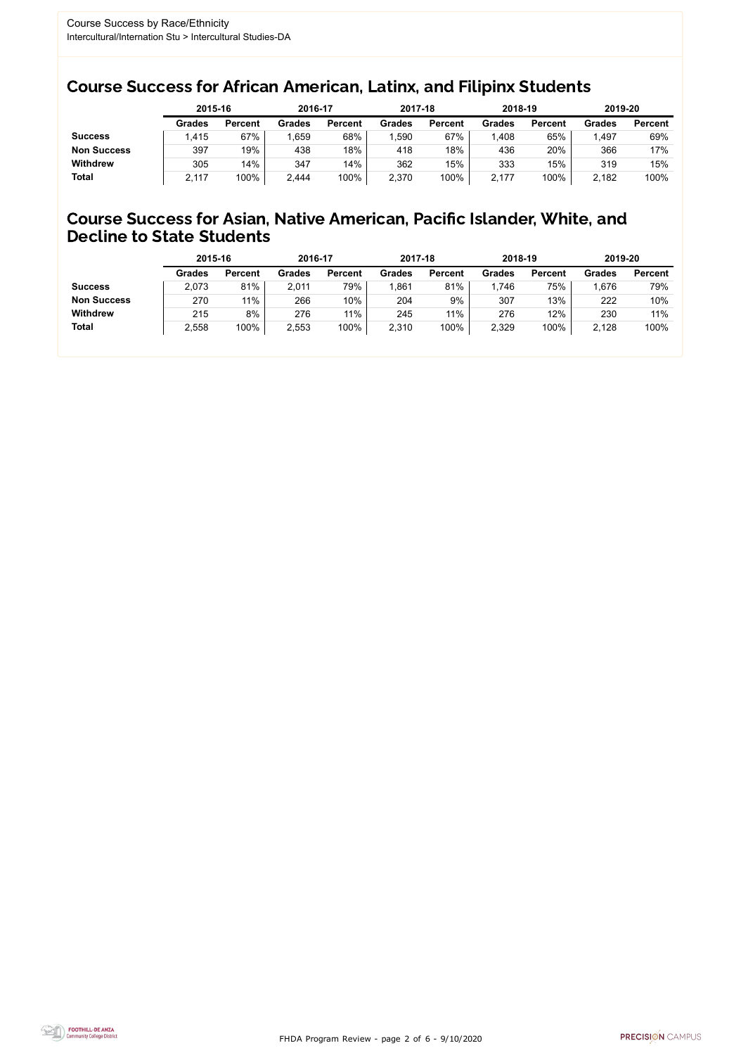FHDA Program Review - page 2 of 6 - 9/10/2020



### Course Success for African American, Latinx, and Filipinx Students

### Course Success for Asian, Native American, Pacific Islander, White, and Decline to State Students

|                    | 2015-16       |                | 2016-17       |                | 2017-18       |                | 2018-19       |                | 2019-20 |                |
|--------------------|---------------|----------------|---------------|----------------|---------------|----------------|---------------|----------------|---------|----------------|
|                    | <b>Grades</b> | <b>Percent</b> | <b>Grades</b> | <b>Percent</b> | <b>Grades</b> | <b>Percent</b> | <b>Grades</b> | <b>Percent</b> | Grades  | <b>Percent</b> |
| <b>Success</b>     | .415          | 67%            | ,659          | 68%            | 1,590         | 67%            | .408          | 65%            | 497, ا  | 69%            |
| <b>Non Success</b> | 397           | 19%            | 438           | 18%            | 418           | 18%            | 436           | 20%            | 366     | 17%            |
| <b>Withdrew</b>    | 305           | 14%            | 347           | 14%            | 362           | 15%            | 333           | 15%            | 319     | 15%            |
| <b>Total</b>       | 2,117         | 100%           | 2,444         | 100%           | 2,370         | 100%           | 2,177         | 100%           | 2,182   | 100%           |

|                    | 2015-16       |                | 2016-17       |                | 2017-18       |                | 2018-19       |                | 2019-20       |                |
|--------------------|---------------|----------------|---------------|----------------|---------------|----------------|---------------|----------------|---------------|----------------|
|                    | <b>Grades</b> | <b>Percent</b> | <b>Grades</b> | <b>Percent</b> | <b>Grades</b> | <b>Percent</b> | <b>Grades</b> | <b>Percent</b> | <b>Grades</b> | <b>Percent</b> |
| <b>Success</b>     | 2,073         | 81%            | 2,011         | 79%            | ,861          | 81%            | ,746          | 75%            | 676. ا        | 79%            |
| <b>Non Success</b> | 270           | 11%            | 266           | 10%            | 204           | 9%             | 307           | 13%            | 222           | 10%            |
| <b>Withdrew</b>    | 215           | 8%             | 276           | $11\%$         | 245           | 11%            | 276           | 12%            | 230           | 11%            |
| <b>Total</b>       | 2,558         | 100%           | 2,553         | 100%           | 2,310         | 100%           | 2,329         | 100%           | 2,128         | 100%           |
|                    |               |                |               |                |               |                |               |                |               |                |

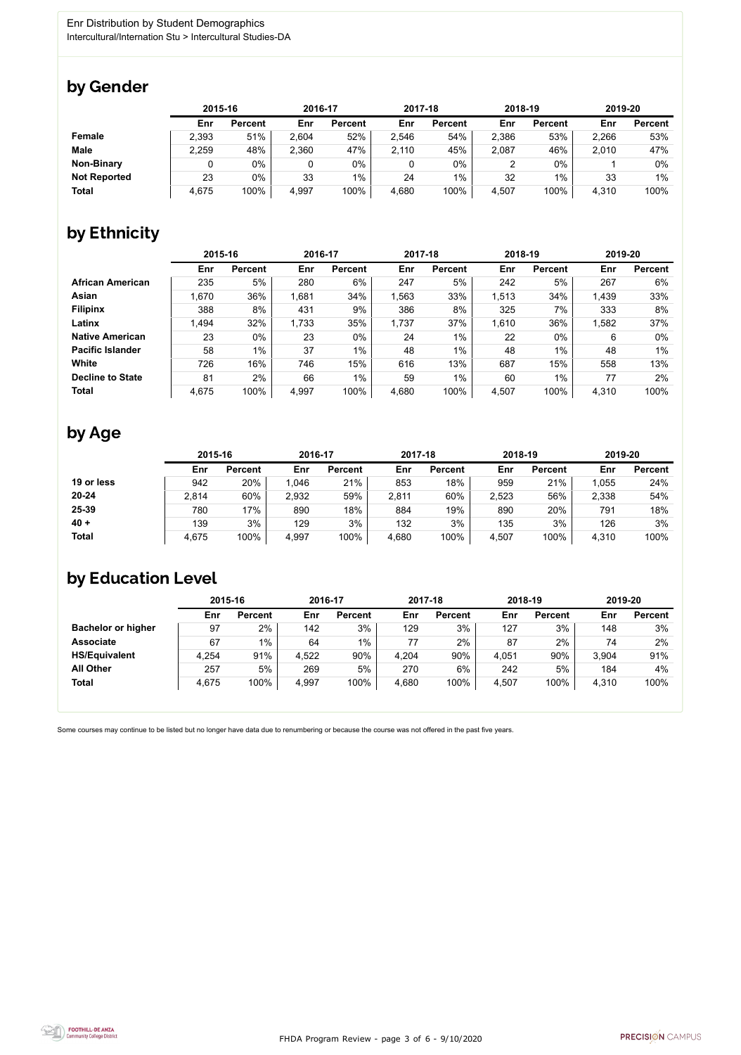FHDA Program Review - page 3 of 6 - 9/10/2020



Some courses may continue to be listed but no longer have data due to renumbering or because the course was not offered in the past five years.



### by Gender

|                     | 2015-16 |                |       | 2016-17        |       | 2017-18        |       | 2018-19        | 2019-20 |                |
|---------------------|---------|----------------|-------|----------------|-------|----------------|-------|----------------|---------|----------------|
|                     | Enr     | <b>Percent</b> | Enr   | <b>Percent</b> | Enr   | <b>Percent</b> | Enr   | <b>Percent</b> | Enr     | <b>Percent</b> |
| <b>Female</b>       | 2,393   | 51%            | 2,604 | 52%            | 2,546 | 54%            | 2,386 | 53%            | 2,266   | 53%            |
| <b>Male</b>         | 2,259   | 48%            | 2,360 | 47%            | 2,110 | 45%            | 2,087 | 46%            | 2,010   | 47%            |
| <b>Non-Binary</b>   |         | 0%             |       | $0\%$          |       | $0\%$          |       | $0\%$          |         | 0%             |
| <b>Not Reported</b> | 23      | 0%             | 33    | $1\%$          | 24    | $1\%$          | 32    | 1%             | 33      | $1\%$          |
| <b>Total</b>        | 4,675   | 100%           | 4,997 | 100%           | 4,680 | 100%           | 4,507 | 100%           | 4,310   | 100%           |

## by Ethnicity

|                         |       | 2015-16        |       | 2016-17        |       | 2017-18        | 2018-19 |                | 2019-20 |                |
|-------------------------|-------|----------------|-------|----------------|-------|----------------|---------|----------------|---------|----------------|
|                         | Enr   | <b>Percent</b> | Enr   | <b>Percent</b> | Enr   | <b>Percent</b> | Enr     | <b>Percent</b> | Enr     | <b>Percent</b> |
| <b>African American</b> | 235   | 5%             | 280   | 6%             | 247   | 5%             | 242     | 5%             | 267     | 6%             |
| <b>Asian</b>            | 1,670 | 36%            | 1,681 | 34%            | 1,563 | 33%            | 1,513   | 34%            | 1,439   | 33%            |
| <b>Filipinx</b>         | 388   | 8%             | 431   | 9%             | 386   | 8%             | 325     | 7%             | 333     | 8%             |
| Latinx                  | 1,494 | 32%            | 1,733 | 35%            | 1,737 | 37%            | 1,610   | 36%            | 1,582   | 37%            |
| <b>Native American</b>  | 23    | $0\%$          | 23    | $0\%$          | 24    | $1\%$          | 22      | $0\%$          | 6       | $0\%$          |
| <b>Pacific Islander</b> | 58    | 1%             | 37    | $1\%$          | 48    | $1\%$          | 48      | 1%             | 48      | 1%             |
| White                   | 726   | 16%            | 746   | 15%            | 616   | 13%            | 687     | 15%            | 558     | 13%            |
| <b>Decline to State</b> | 81    | 2%             | 66    | $1\%$          | 59    | $1\%$          | 60      | $1\%$          | 77      | 2%             |
| <b>Total</b>            | 4,675 | 100%           | 4,997 | 100%           | 4,680 | 100%           | 4,507   | 100%           | 4,310   | 100%           |

## by Age

|              | 2015-16 |                | 2016-17 |                | 2017-18 |                | 2018-19 |                | 2019-20 |                |
|--------------|---------|----------------|---------|----------------|---------|----------------|---------|----------------|---------|----------------|
|              | Enr     | <b>Percent</b> | Enr     | <b>Percent</b> | Enr     | <b>Percent</b> | Enr     | <b>Percent</b> | Enr     | <b>Percent</b> |
| 19 or less   | 942     | 20%            | 1,046   | 21%            | 853     | 18%            | 959     | 21%            | 1,055   | 24%            |
| $20 - 24$    | 2,814   | 60%            | 2,932   | 59%            | 2,811   | 60%            | 2,523   | 56%            | 2,338   | 54%            |
| 25-39        | 780     | 17%            | 890     | 18%            | 884     | 19%            | 890     | 20%            | 791     | 18%            |
| $40 +$       | 139     | 3%             | 129     | 3%             | 132     | 3%             | 135     | 3%             | 126     | 3%             |
| <b>Total</b> | 4,675   | 100%           | 4,997   | 100%           | 4,680   | 100%           | 4,507   | 100%           | 4,310   | 100%           |

### by Education Level

|                           | 2015-16 |                |       | 2016-17        |       | 2017-18        | 2018-19 |                | 2019-20 |                |
|---------------------------|---------|----------------|-------|----------------|-------|----------------|---------|----------------|---------|----------------|
|                           | Enr     | <b>Percent</b> | Enr   | <b>Percent</b> | Enr   | <b>Percent</b> | Enr     | <b>Percent</b> | Enr     | <b>Percent</b> |
| <b>Bachelor or higher</b> | 97      | 2%             | 142   | 3%             | 129   | 3%             | 127     | 3%             | 148     | 3%             |
| <b>Associate</b>          | 67      | $1\%$          | 64    | $1\%$          | 77    | 2%             | 87      | 2%             | 74      | 2%             |
| <b>HS/Equivalent</b>      | 4,254   | 91%            | 4,522 | 90%            | 4,204 | 90%            | 4,051   | 90%            | 3,904   | 91%            |
| <b>All Other</b>          | 257     | 5%             | 269   | 5%             | 270   | 6%             | 242     | 5%             | 184     | 4%             |
| <b>Total</b>              | 4,675   | 100%           | 4,997 | 100%           | 4,680 | 100%           | 4,507   | 100%           | 4,310   | 100%           |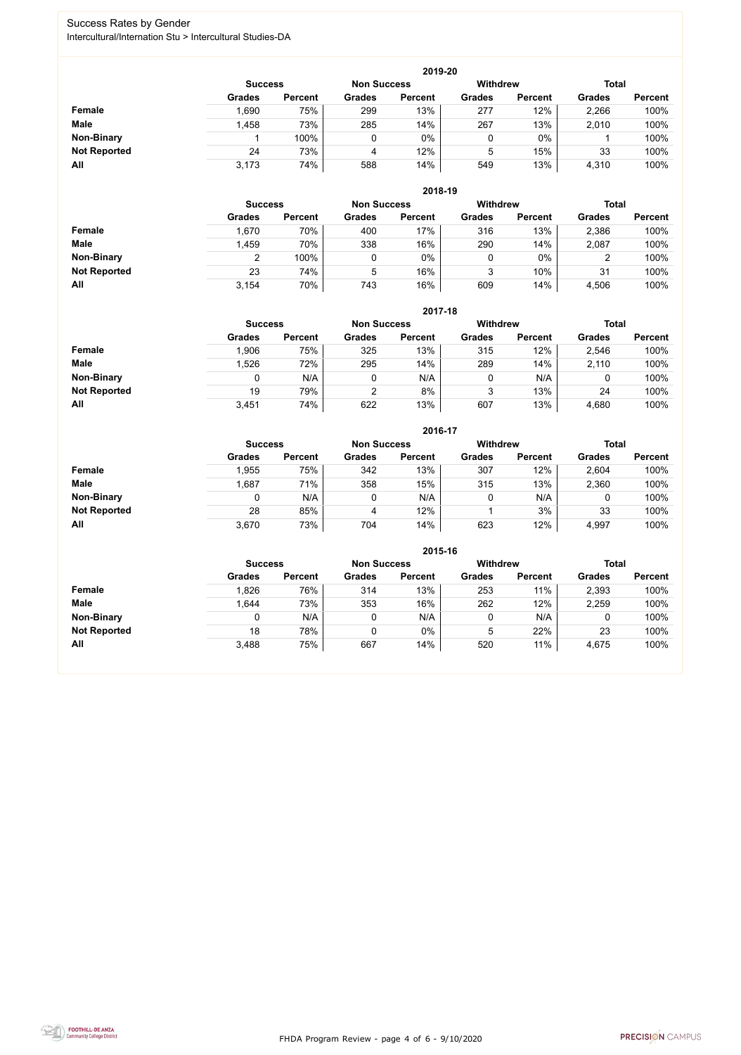FHDA Program Review - page 4 of 6 - 9/10/2020



### Success Rates by Gender Intercultural/Internation Stu > Intercultural Studies-DA

|                     |                |                |                    | 2019-20        |                 |                |               |                |
|---------------------|----------------|----------------|--------------------|----------------|-----------------|----------------|---------------|----------------|
|                     | <b>Success</b> |                | <b>Non Success</b> |                | <b>Withdrew</b> |                | <b>Total</b>  |                |
|                     | <b>Grades</b>  | <b>Percent</b> | <b>Grades</b>      | <b>Percent</b> | <b>Grades</b>   | <b>Percent</b> | <b>Grades</b> | <b>Percent</b> |
| <b>Female</b>       | .690           | 75%            | 299                | 13%            | 277             | 12%            | 2,266         | 100%           |
| <b>Male</b>         | 1,458          | 73%            | 285                | 14%            | 267             | 13%            | 2,010         | 100%           |
| <b>Non-Binary</b>   |                | 100%           |                    | $0\%$          | 0               | $0\%$          |               | 100%           |
| <b>Not Reported</b> | 24             | 73%            | 4                  | 12%            | 5               | 15%            | 33            | 100%           |
| All                 | 3,173          | 74%            | 588                | 14%            | 549             | 13%            | 4,310         | 100%           |

|                     |               | 2018-19                              |               |                |               |                 |               |                |  |  |  |  |  |
|---------------------|---------------|--------------------------------------|---------------|----------------|---------------|-----------------|---------------|----------------|--|--|--|--|--|
|                     |               | <b>Non Success</b><br><b>Success</b> |               |                |               | <b>Withdrew</b> | <b>Total</b>  |                |  |  |  |  |  |
|                     | <b>Grades</b> | <b>Percent</b>                       | <b>Grades</b> | <b>Percent</b> | <b>Grades</b> | <b>Percent</b>  | <b>Grades</b> | <b>Percent</b> |  |  |  |  |  |
| Female              | 1,670         | 70%                                  | 400           | 17%            | 316           | 13%             | 2,386         | 100%           |  |  |  |  |  |
| <b>Male</b>         | 1,459         | 70%                                  | 338           | 16%            | 290           | 14%             | 2,087         | 100%           |  |  |  |  |  |
| <b>Non-Binary</b>   | າ             | 100%                                 |               | $0\%$          | υ             | $0\%$           | າ<br>∠        | 100%           |  |  |  |  |  |
| <b>Not Reported</b> | 23            | 74%                                  | 5             | 16%            | 3             | 10%             | 31            | 100%           |  |  |  |  |  |
| All                 | 3,154         | 70%                                  | 743           | 16%            | 609           | 14%             | 4,506         | 100%           |  |  |  |  |  |

|                     |               | 2017-18                                                 |               |                |               |                |               |                |  |  |  |  |  |
|---------------------|---------------|---------------------------------------------------------|---------------|----------------|---------------|----------------|---------------|----------------|--|--|--|--|--|
|                     |               | <b>Withdrew</b><br><b>Non Success</b><br><b>Success</b> |               |                |               |                |               |                |  |  |  |  |  |
|                     | <b>Grades</b> | <b>Percent</b>                                          | <b>Grades</b> | <b>Percent</b> | <b>Grades</b> | <b>Percent</b> | <b>Grades</b> | <b>Percent</b> |  |  |  |  |  |
| <b>Female</b>       | 1,906         | 75%                                                     | 325           | 13%            | 315           | 12%            | 2,546         | 100%           |  |  |  |  |  |
| <b>Male</b>         | ,526          | 72%                                                     | 295           | 14%            | 289           | 14%            | 2,110         | 100%           |  |  |  |  |  |
| <b>Non-Binary</b>   | 0             | N/A                                                     |               | N/A            | 0             | N/A            | 0             | 100%           |  |  |  |  |  |
| <b>Not Reported</b> | 19            | 79%                                                     | 2             | 8%             | 3             | 13%            | 24            | 100%           |  |  |  |  |  |
| All                 | 3,451         | 74%                                                     | 622           | 13%            | 607           | 13%            | 4,680         | 100%           |  |  |  |  |  |

|                     |               | 2016-17                              |               |                |                 |                |               |                |  |  |
|---------------------|---------------|--------------------------------------|---------------|----------------|-----------------|----------------|---------------|----------------|--|--|
|                     |               | <b>Non Success</b><br><b>Success</b> |               |                | <b>Withdrew</b> |                | <b>Total</b>  |                |  |  |
|                     | <b>Grades</b> | <b>Percent</b>                       | <b>Grades</b> | <b>Percent</b> | <b>Grades</b>   | <b>Percent</b> | <b>Grades</b> | <b>Percent</b> |  |  |
| <b>Female</b>       | 1,955         | 75%                                  | 342           | 13%            | 307             | 12%            | 2,604         | 100%           |  |  |
| <b>Male</b>         | 1,687         | 71%                                  | 358           | 15%            | 315             | 13%            | 2,360         | 100%           |  |  |
| <b>Non-Binary</b>   | 0             | N/A                                  | 0             | N/A            | 0               | N/A            | 0             | 100%           |  |  |
| <b>Not Reported</b> | 28            | 85%                                  | 4             | 12%            |                 | 3%             | 33            | 100%           |  |  |
| All                 | 3,670         | 73%                                  | 704           | 14%            | 623             | 12%            | 4,997         | 100%           |  |  |

|                     |                                      |                |               | 2015-16        |                 |                |               |                |
|---------------------|--------------------------------------|----------------|---------------|----------------|-----------------|----------------|---------------|----------------|
|                     | <b>Non Success</b><br><b>Success</b> |                |               |                | <b>Withdrew</b> |                | <b>Total</b>  |                |
|                     | <b>Grades</b>                        | <b>Percent</b> | <b>Grades</b> | <b>Percent</b> | <b>Grades</b>   | <b>Percent</b> | <b>Grades</b> | <b>Percent</b> |
| Female              | 1,826                                | 76%            | 314           | 13%            | 253             | 11%            | 2,393         | 100%           |
| <b>Male</b>         | 1,644                                | 73%            | 353           | 16%            | 262             | 12%            | 2,259         | 100%           |
| <b>Non-Binary</b>   |                                      | N/A            | 0             | N/A            |                 | N/A            | 0             | 100%           |
| <b>Not Reported</b> | 18                                   | 78%            | 0             | 0%             | 5               | 22%            | 23            | 100%           |
| All                 | 3,488                                | 75%            | 667           | 14%            | 520             | 11%            | 4,675         | 100%           |

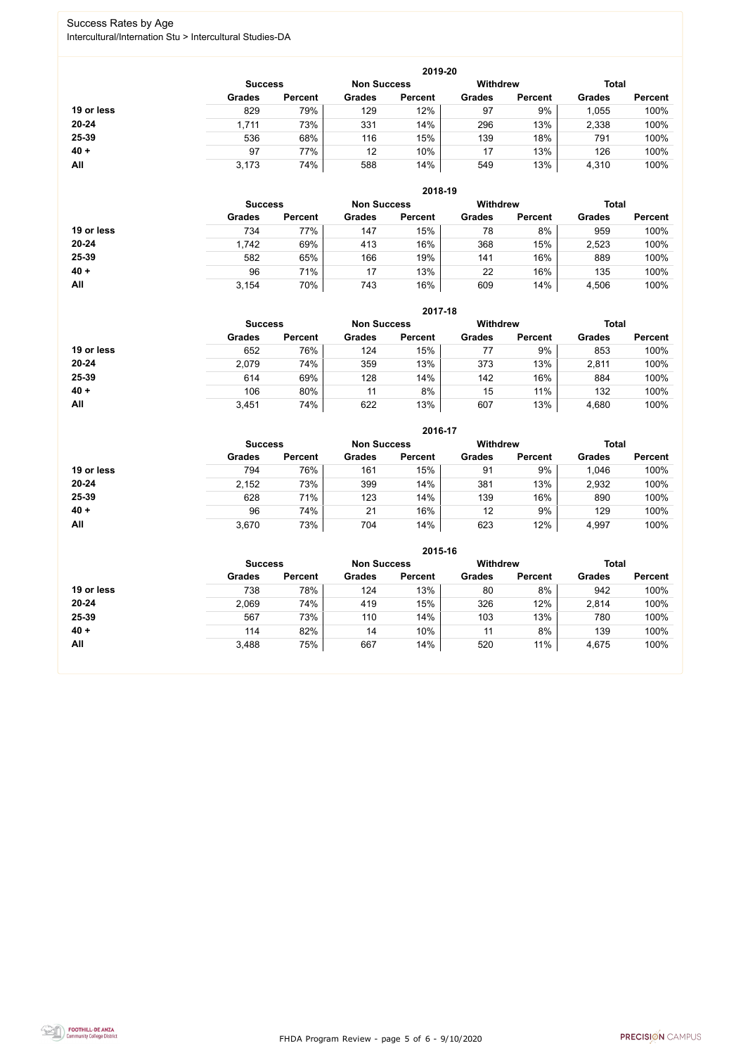FHDA Program Review - page 5 of 6 - 9/10/2020



### Success Rates by Age Intercultural/Internation Stu > Intercultural Studies-DA

|            | 2019-20        |                |                    |                |                 |                |               |                |  |
|------------|----------------|----------------|--------------------|----------------|-----------------|----------------|---------------|----------------|--|
|            | <b>Success</b> |                | <b>Non Success</b> |                | <b>Withdrew</b> |                | <b>Total</b>  |                |  |
|            | <b>Grades</b>  | <b>Percent</b> | <b>Grades</b>      | <b>Percent</b> | <b>Grades</b>   | <b>Percent</b> | <b>Grades</b> | <b>Percent</b> |  |
| 19 or less | 829            | 79%            | 129                | 12%            | 97              | 9%             | .055          | 100%           |  |
| $20 - 24$  | 1,711          | 73%            | 331                | 14%            | 296             | 13%            | 2,338         | 100%           |  |
| 25-39      | 536            | 68%            | 116                | 15%            | 139             | 18%            | 791           | 100%           |  |
| $40 +$     | 97             | 77%            | 12                 | 10%            | 17              | 13%            | 126           | 100%           |  |
| All        | 3,173          | 74%            | 588                | 14%            | 549             | 13%            | 4,310         | 100%           |  |

|            |                |                    |               | 2018-19         |               |                |               |                |
|------------|----------------|--------------------|---------------|-----------------|---------------|----------------|---------------|----------------|
|            | <b>Success</b> | <b>Non Success</b> |               | <b>Withdrew</b> |               | <b>Total</b>   |               |                |
|            | <b>Grades</b>  | <b>Percent</b>     | <b>Grades</b> | <b>Percent</b>  | <b>Grades</b> | <b>Percent</b> | <b>Grades</b> | <b>Percent</b> |
| 19 or less | 734            | 77%                | 147           | 15%             | 78            | 8%             | 959           | 100%           |
| $20 - 24$  | 1,742          | 69%                | 413           | 16%             | 368           | 15%            | 2,523         | 100%           |
| 25-39      | 582            | 65%                | 166           | 19%             | 141           | 16%            | 889           | 100%           |
| $40 +$     | 96             | 71%                | 17            | 13%             | 22            | 16%            | 135           | 100%           |
| All        | 3,154          | 70%                | 743           | 16%             | 609           | 14%            | 4,506         | 100%           |

|            | 2017-18                              |                |               |                |                 |                |               |                |
|------------|--------------------------------------|----------------|---------------|----------------|-----------------|----------------|---------------|----------------|
|            | <b>Non Success</b><br><b>Success</b> |                |               |                | <b>Withdrew</b> |                | <b>Total</b>  |                |
|            | <b>Grades</b>                        | <b>Percent</b> | <b>Grades</b> | <b>Percent</b> | <b>Grades</b>   | <b>Percent</b> | <b>Grades</b> | <b>Percent</b> |
| 19 or less | 652                                  | 76%            | 124           | 15%            |                 | 9%             | 853           | 100%           |
| $20 - 24$  | 2,079                                | 74%            | 359           | 13%            | 373             | 13%            | 2,811         | 100%           |
| 25-39      | 614                                  | 69%            | 128           | 14%            | 142             | 16%            | 884           | 100%           |
| $40 +$     | 106                                  | 80%            | 11            | 8%             | 15              | 11%            | 132           | 100%           |
| All        | 3,451                                | 74%            | 622           | 13%            | 607             | 13%            | 4,680         | 100%           |

|            |                                      |                |               | 2016-17        |                 |                |               |                |
|------------|--------------------------------------|----------------|---------------|----------------|-----------------|----------------|---------------|----------------|
|            | <b>Non Success</b><br><b>Success</b> |                |               |                | <b>Withdrew</b> |                | <b>Total</b>  |                |
|            | <b>Grades</b>                        | <b>Percent</b> | <b>Grades</b> | <b>Percent</b> | <b>Grades</b>   | <b>Percent</b> | <b>Grades</b> | <b>Percent</b> |
| 19 or less | 794                                  | 76%            | 161           | 15%            | 91              | 9%             | 1,046         | 100%           |
| $20 - 24$  | 2,152                                | 73%            | 399           | 14%            | 381             | 13%            | 2,932         | 100%           |
| 25-39      | 628                                  | 71%            | 123           | 14%            | 139             | 16%            | 890           | 100%           |
| $40 +$     | 96                                   | 74%            | 21            | 16%            | 12              | 9%             | 129           | 100%           |
| All        | 3,670                                | 73%            | 704           | 14%            | 623             | 12%            | 4,997         | 100%           |

|            |                |                    |               | 2015-16         |               |                |               |                |
|------------|----------------|--------------------|---------------|-----------------|---------------|----------------|---------------|----------------|
|            | <b>Success</b> | <b>Non Success</b> |               | <b>Withdrew</b> |               | <b>Total</b>   |               |                |
|            | <b>Grades</b>  | <b>Percent</b>     | <b>Grades</b> | <b>Percent</b>  | <b>Grades</b> | <b>Percent</b> | <b>Grades</b> | <b>Percent</b> |
| 19 or less | 738            | 78%                | 124           | 13%             | 80            | 8%             | 942           | 100%           |
| $20 - 24$  | 2,069          | 74%                | 419           | 15%             | 326           | 12%            | 2,814         | 100%           |
| 25-39      | 567            | 73%                | 110           | 14%             | 103           | 13%            | 780           | 100%           |
| $40 +$     | 114            | 82%                | 14            | 10%             | 11            | 8%             | 139           | 100%           |
| All        | 3,488          | 75%                | 667           | 14%             | 520           | 11%            | 4,675         | 100%           |